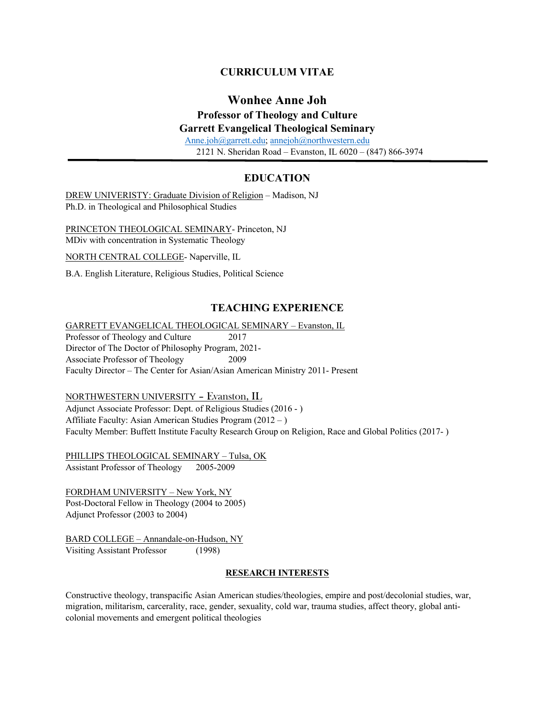## **CURRICULUM VITAE**

# **Wonhee Anne Joh**

## **Professor of Theology and Culture**

## **Garrett Evangelical Theological Seminary**

Anne.joh@garrett.edu; annejoh@northwestern.edu 2121 N. Sheridan Road – Evanston, IL 6020 – (847) 866-3974

## **EDUCATION**

DREW UNIVERISTY: Graduate Division of Religion – Madison, NJ Ph.D. in Theological and Philosophical Studies

PRINCETON THEOLOGICAL SEMINARY- Princeton, NJ MDiv with concentration in Systematic Theology

NORTH CENTRAL COLLEGE- Naperville, IL

B.A. English Literature, Religious Studies, Political Science

## **TEACHING EXPERIENCE**

GARRETT EVANGELICAL THEOLOGICAL SEMINARY – Evanston, IL Professor of Theology and Culture 2017 Director of The Doctor of Philosophy Program, 2021- Associate Professor of Theology 2009 Faculty Director – The Center for Asian/Asian American Ministry 2011- Present

#### NORTHWESTERN UNIVERSITY – Evanston, IL

Adjunct Associate Professor: Dept. of Religious Studies (2016 - ) Affiliate Faculty: Asian American Studies Program (2012 – ) Faculty Member: Buffett Institute Faculty Research Group on Religion, Race and Global Politics (2017- )

PHILLIPS THEOLOGICAL SEMINARY – Tulsa, OK Assistant Professor of Theology 2005-2009

FORDHAM UNIVERSITY – New York, NY Post-Doctoral Fellow in Theology (2004 to 2005) Adjunct Professor (2003 to 2004)

BARD COLLEGE – Annandale-on-Hudson, NY Visiting Assistant Professor (1998)

#### **RESEARCH INTERESTS**

Constructive theology, transpacific Asian American studies/theologies, empire and post/decolonial studies, war, migration, militarism, carcerality, race, gender, sexuality, cold war, trauma studies, affect theory, global anticolonial movements and emergent political theologies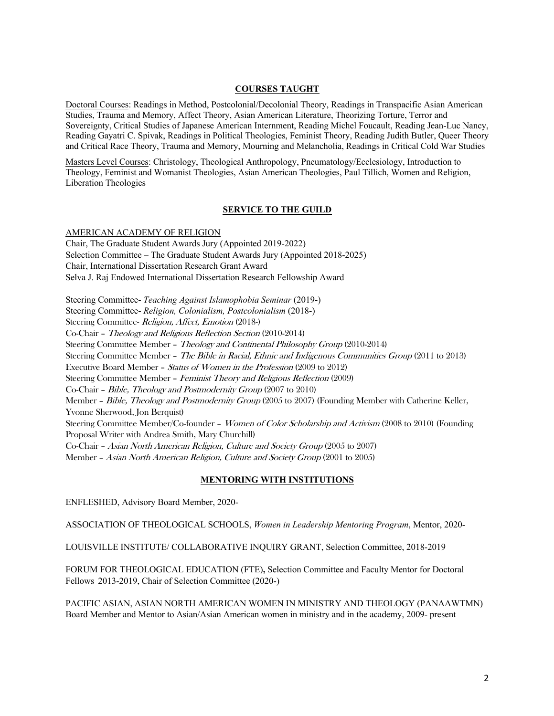### **COURSES TAUGHT**

Doctoral Courses: Readings in Method, Postcolonial/Decolonial Theory, Readings in Transpacific Asian American Studies, Trauma and Memory, Affect Theory, Asian American Literature, Theorizing Torture, Terror and Sovereignty, Critical Studies of Japanese American Internment, Reading Michel Foucault, Reading Jean-Luc Nancy, Reading Gayatri C. Spivak, Readings in Political Theologies, Feminist Theory, Reading Judith Butler, Queer Theory and Critical Race Theory, Trauma and Memory, Mourning and Melancholia, Readings in Critical Cold War Studies

Masters Level Courses: Christology, Theological Anthropology, Pneumatology/Ecclesiology, Introduction to Theology, Feminist and Womanist Theologies, Asian American Theologies, Paul Tillich, Women and Religion, Liberation Theologies

#### **SERVICE TO THE GUILD**

AMERICAN ACADEMY OF RELIGION Chair, The Graduate Student Awards Jury (Appointed 2019-2022) Selection Committee – The Graduate Student Awards Jury (Appointed 2018-2025) Chair, International Dissertation Research Grant Award Selva J. Raj Endowed International Dissertation Research Fellowship Award Steering Committee- *Teaching Against Islamophobia Seminar* (2019-) Steering Committee- *Religion, Colonialism, Postcolonialism* (2018-) Steering Committee- Religion, Affect, Emotion (2018-) Co-Chair – Theology and Religious Reflection Section (2010-2014) Steering Committee Member – Theology and Continental Philosophy Group (2010-2014) Steering Committee Member – The Bible in Racial, Ethnic and Indigenous Communities Group (2011 to 2013) Executive Board Member – Status of Women in the Profession (2009 to 2012) Steering Committee Member – Feminist Theory and Religious Reflection (2009) Co-Chair – Bible, Theology and Postmodernity Group (2007 to 2010) Member – Bible, Theology and Postmodernity Group (2005 to 2007) (Founding Member with Catherine Keller, Yvonne Sherwood, Jon Berquist) Steering Committee Member/Co-founder – Women of Color Scholarship and Activism (2008 to 2010) (Founding Proposal Writer with Andrea Smith, Mary Churchill) Co-Chair – Asian North American Religion, Culture and Society Group (2005 to 2007)

#### **MENTORING WITH INSTITUTIONS**

ENFLESHED, Advisory Board Member, 2020-

ASSOCIATION OF THEOLOGICAL SCHOOLS, *Women in Leadership Mentoring Program*, Mentor, 2020-

LOUISVILLE INSTITUTE/ COLLABORATIVE INQUIRY GRANT, Selection Committee, 2018-2019

Member – Asian North American Religion, Culture and Society Group (2001 to 2005)

FORUM FOR THEOLOGICAL EDUCATION (FTE)**,** Selection Committee and Faculty Mentor for Doctoral Fellows 2013-2019, Chair of Selection Committee (2020-)

PACIFIC ASIAN, ASIAN NORTH AMERICAN WOMEN IN MINISTRY AND THEOLOGY (PANAAWTMN) Board Member and Mentor to Asian/Asian American women in ministry and in the academy, 2009- present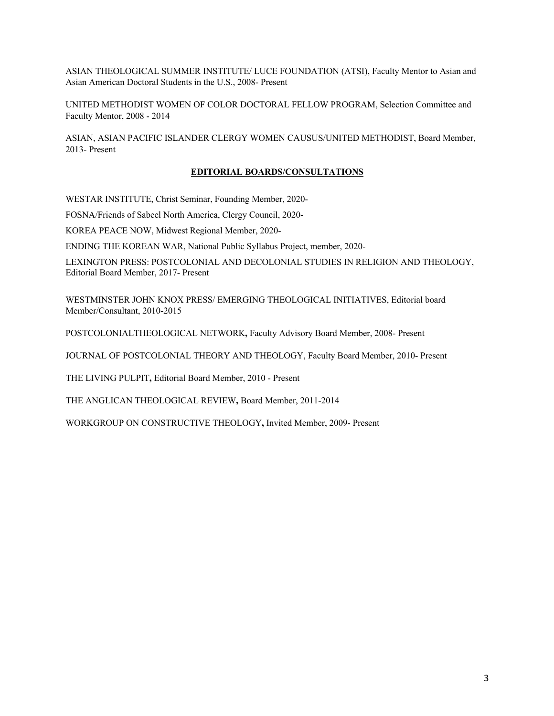ASIAN THEOLOGICAL SUMMER INSTITUTE/ LUCE FOUNDATION (ATSI), Faculty Mentor to Asian and Asian American Doctoral Students in the U.S., 2008- Present

UNITED METHODIST WOMEN OF COLOR DOCTORAL FELLOW PROGRAM, Selection Committee and Faculty Mentor, 2008 - 2014

ASIAN, ASIAN PACIFIC ISLANDER CLERGY WOMEN CAUSUS/UNITED METHODIST, Board Member, 2013- Present

## **EDITORIAL BOARDS/CONSULTATIONS**

WESTAR INSTITUTE, Christ Seminar, Founding Member, 2020-

FOSNA/Friends of Sabeel North America, Clergy Council, 2020-

KOREA PEACE NOW, Midwest Regional Member, 2020-

ENDING THE KOREAN WAR, National Public Syllabus Project, member, 2020-

LEXINGTON PRESS: POSTCOLONIAL AND DECOLONIAL STUDIES IN RELIGION AND THEOLOGY, Editorial Board Member, 2017- Present

WESTMINSTER JOHN KNOX PRESS/ EMERGING THEOLOGICAL INITIATIVES, Editorial board Member/Consultant, 2010-2015

POSTCOLONIALTHEOLOGICAL NETWORK**,** Faculty Advisory Board Member, 2008- Present

JOURNAL OF POSTCOLONIAL THEORY AND THEOLOGY, Faculty Board Member, 2010- Present

THE LIVING PULPIT**,** Editorial Board Member, 2010 - Present

THE ANGLICAN THEOLOGICAL REVIEW**,** Board Member, 2011-2014

WORKGROUP ON CONSTRUCTIVE THEOLOGY**,** Invited Member, 2009- Present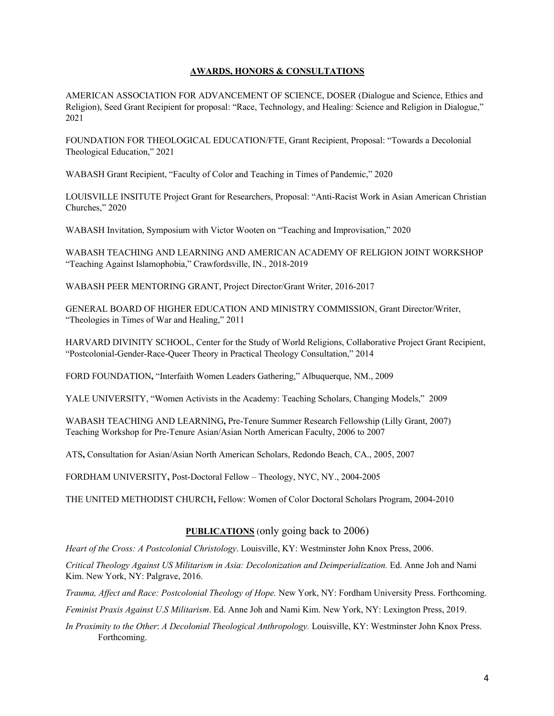## **AWARDS, HONORS & CONSULTATIONS**

AMERICAN ASSOCIATION FOR ADVANCEMENT OF SCIENCE, DOSER (Dialogue and Science, Ethics and Religion), Seed Grant Recipient for proposal: "Race, Technology, and Healing: Science and Religion in Dialogue," 2021

FOUNDATION FOR THEOLOGICAL EDUCATION/FTE, Grant Recipient, Proposal: "Towards a Decolonial Theological Education," 2021

WABASH Grant Recipient, "Faculty of Color and Teaching in Times of Pandemic," 2020

LOUISVILLE INSITUTE Project Grant for Researchers, Proposal: "Anti-Racist Work in Asian American Christian Churches," 2020

WABASH Invitation, Symposium with Victor Wooten on "Teaching and Improvisation," 2020

WABASH TEACHING AND LEARNING AND AMERICAN ACADEMY OF RELIGION JOINT WORKSHOP "Teaching Against Islamophobia," Crawfordsville, IN., 2018-2019

WABASH PEER MENTORING GRANT, Project Director/Grant Writer, 2016-2017

GENERAL BOARD OF HIGHER EDUCATION AND MINISTRY COMMISSION, Grant Director/Writer, "Theologies in Times of War and Healing," 2011

HARVARD DIVINITY SCHOOL, Center for the Study of World Religions, Collaborative Project Grant Recipient, "Postcolonial-Gender-Race-Queer Theory in Practical Theology Consultation," 2014

FORD FOUNDATION**,** "Interfaith Women Leaders Gathering," Albuquerque, NM., 2009

YALE UNIVERSITY, "Women Activists in the Academy: Teaching Scholars, Changing Models," 2009

WABASH TEACHING AND LEARNING**,** Pre-Tenure Summer Research Fellowship (Lilly Grant, 2007) Teaching Workshop for Pre-Tenure Asian/Asian North American Faculty, 2006 to 2007

ATS**,** Consultation for Asian/Asian North American Scholars, Redondo Beach, CA., 2005, 2007

FORDHAM UNIVERSITY**,** Post-Doctoral Fellow – Theology, NYC, NY., 2004-2005

THE UNITED METHODIST CHURCH**,** Fellow: Women of Color Doctoral Scholars Program, 2004-2010

### **PUBLICATIONS** (only going back to 2006)

*Heart of the Cross: A Postcolonial Christology*. Louisville, KY: Westminster John Knox Press, 2006.

*Critical Theology Against US Militarism in Asia: Decolonization and Deimperialization.* Ed. Anne Joh and Nami Kim. New York, NY: Palgrave, 2016.

*Trauma, Affect and Race: Postcolonial Theology of Hope.* New York, NY: Fordham University Press. Forthcoming.

*Feminist Praxis Against U*.*S Militarism*. Ed. Anne Joh and Nami Kim. New York, NY: Lexington Press, 2019.

*In Proximity to the Other*: *A Decolonial Theological Anthropology.* Louisville, KY: Westminster John Knox Press. Forthcoming.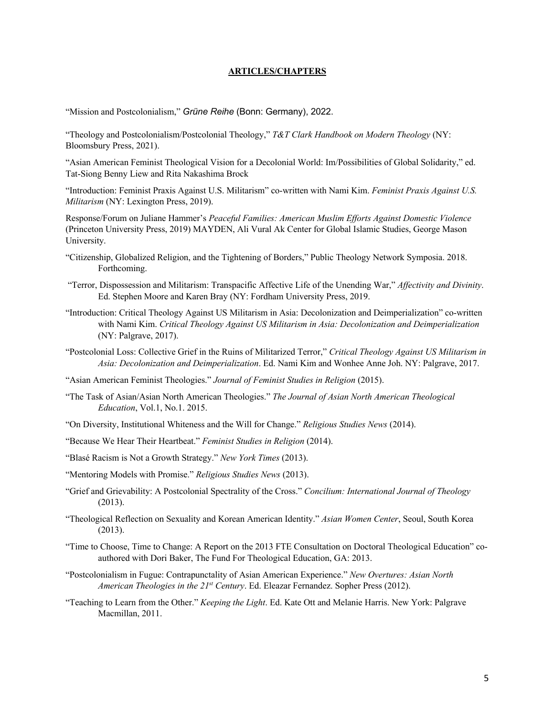#### **ARTICLES/CHAPTERS**

"Mission and Postcolonialism," *Grüne Reihe* (Bonn: Germany), 2022.

"Theology and Postcolonialism/Postcolonial Theology," *T&T Clark Handbook on Modern Theology* (NY: Bloomsbury Press, 2021).

"Asian American Feminist Theological Vision for a Decolonial World: Im/Possibilities of Global Solidarity," ed. Tat-Siong Benny Liew and Rita Nakashima Brock

"Introduction: Feminist Praxis Against U.S. Militarism" co-written with Nami Kim. *Feminist Praxis Against U.S. Militarism* (NY: Lexington Press, 2019).

Response/Forum on Juliane Hammer's *Peaceful Families: American Muslim Efforts Against Domestic Violence* (Princeton University Press, 2019) MAYDEN, Ali Vural Ak Center for Global Islamic Studies, George Mason University.

- "Citizenship, Globalized Religion, and the Tightening of Borders," Public Theology Network Symposia. 2018. Forthcoming.
- "Terror, Dispossession and Militarism: Transpacific Affective Life of the Unending War," *Affectivity and Divinity*. Ed. Stephen Moore and Karen Bray (NY: Fordham University Press, 2019.
- "Introduction: Critical Theology Against US Militarism in Asia: Decolonization and Deimperialization" co-written with Nami Kim. *Critical Theology Against US Militarism in Asia: Decolonization and Deimperialization* (NY: Palgrave, 2017).
- "Postcolonial Loss: Collective Grief in the Ruins of Militarized Terror," *Critical Theology Against US Militarism in Asia: Decolonization and Deimperialization*. Ed. Nami Kim and Wonhee Anne Joh. NY: Palgrave, 2017.
- "Asian American Feminist Theologies." *Journal of Feminist Studies in Religion* (2015).
- "The Task of Asian/Asian North American Theologies." *The Journal of Asian North American Theological Education*, Vol.1, No.1. 2015.
- "On Diversity, Institutional Whiteness and the Will for Change." *Religious Studies News* (2014).
- "Because We Hear Their Heartbeat." *Feminist Studies in Religion* (2014).
- "Blasé Racism is Not a Growth Strategy." *New York Times* (2013).
- "Mentoring Models with Promise." *Religious Studies News* (2013).
- "Grief and Grievability: A Postcolonial Spectrality of the Cross." *Concilium: International Journal of Theology*  (2013).
- "Theological Reflection on Sexuality and Korean American Identity." *Asian Women Center*, Seoul, South Korea (2013).
- "Time to Choose, Time to Change: A Report on the 2013 FTE Consultation on Doctoral Theological Education" coauthored with Dori Baker, The Fund For Theological Education, GA: 2013.
- "Postcolonialism in Fugue: Contrapunctality of Asian American Experience." *New Overtures: Asian North American Theologies in the 21st Century*. Ed. Eleazar Fernandez. Sopher Press (2012).
- "Teaching to Learn from the Other." *Keeping the Light*. Ed. Kate Ott and Melanie Harris. New York: Palgrave Macmillan, 2011.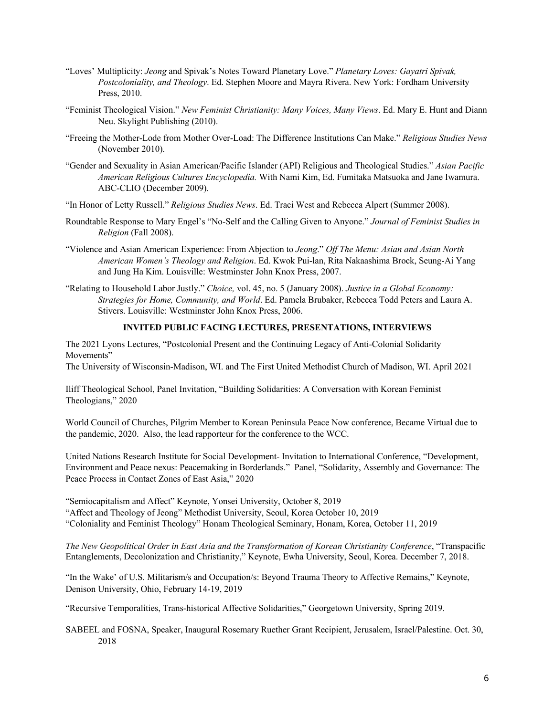- "Loves' Multiplicity: *Jeong* and Spivak's Notes Toward Planetary Love." *Planetary Loves: Gayatri Spivak, Postcoloniality, and Theology*. Ed. Stephen Moore and Mayra Rivera. New York: Fordham University Press, 2010.
- "Feminist Theological Vision." *New Feminist Christianity: Many Voices, Many Views*. Ed. Mary E. Hunt and Diann Neu. Skylight Publishing (2010).
- "Freeing the Mother-Lode from Mother Over-Load: The Difference Institutions Can Make." *Religious Studies News* (November 2010).
- "Gender and Sexuality in Asian American/Pacific Islander (API) Religious and Theological Studies." *Asian Pacific American Religious Cultures Encyclopedia.* With Nami Kim, Ed. Fumitaka Matsuoka and Jane Iwamura. ABC-CLIO (December 2009).
- "In Honor of Letty Russell." *Religious Studies News*. Ed. Traci West and Rebecca Alpert (Summer 2008).
- Roundtable Response to Mary Engel's "No-Self and the Calling Given to Anyone." *Journal of Feminist Studies in Religion* (Fall 2008).
- "Violence and Asian American Experience: From Abjection to *Jeong*." *Off The Menu: Asian and Asian North American Women's Theology and Religion*. Ed. Kwok Pui-lan, Rita Nakaashima Brock, Seung-Ai Yang and Jung Ha Kim. Louisville: Westminster John Knox Press, 2007.
- "Relating to Household Labor Justly." *Choice,* vol. 45, no. 5 (January 2008). *Justice in a Global Economy: Strategies for Home, Community, and World*. Ed. Pamela Brubaker, Rebecca Todd Peters and Laura A. Stivers. Louisville: Westminster John Knox Press, 2006.

## **INVITED PUBLIC FACING LECTURES, PRESENTATIONS, INTERVIEWS**

The 2021 Lyons Lectures, "Postcolonial Present and the Continuing Legacy of Anti-Colonial Solidarity Movements"

The University of Wisconsin-Madison, WI. and The First United Methodist Church of Madison, WI. April 2021

Iliff Theological School, Panel Invitation, "Building Solidarities: A Conversation with Korean Feminist Theologians," 2020

World Council of Churches, Pilgrim Member to Korean Peninsula Peace Now conference, Became Virtual due to the pandemic, 2020. Also, the lead rapporteur for the conference to the WCC.

United Nations Research Institute for Social Development- Invitation to International Conference, "Development, Environment and Peace nexus: Peacemaking in Borderlands." Panel, "Solidarity, Assembly and Governance: The Peace Process in Contact Zones of East Asia," 2020

"Semiocapitalism and Affect" Keynote, Yonsei University, October 8, 2019

"Affect and Theology of Jeong" Methodist University, Seoul, Korea October 10, 2019

"Coloniality and Feminist Theology" Honam Theological Seminary, Honam, Korea, October 11, 2019

*The New Geopolitical Order in East Asia and the Transformation of Korean Christianity Conference*, "Transpacific Entanglements, Decolonization and Christianity," Keynote, Ewha University, Seoul, Korea. December 7, 2018.

"In the Wake' of U.S. Militarism/s and Occupation/s: Beyond Trauma Theory to Affective Remains," Keynote, Denison University, Ohio, February 14-19, 2019

"Recursive Temporalities, Trans-historical Affective Solidarities," Georgetown University, Spring 2019.

SABEEL and FOSNA, Speaker, Inaugural Rosemary Ruether Grant Recipient, Jerusalem, Israel/Palestine. Oct. 30, 2018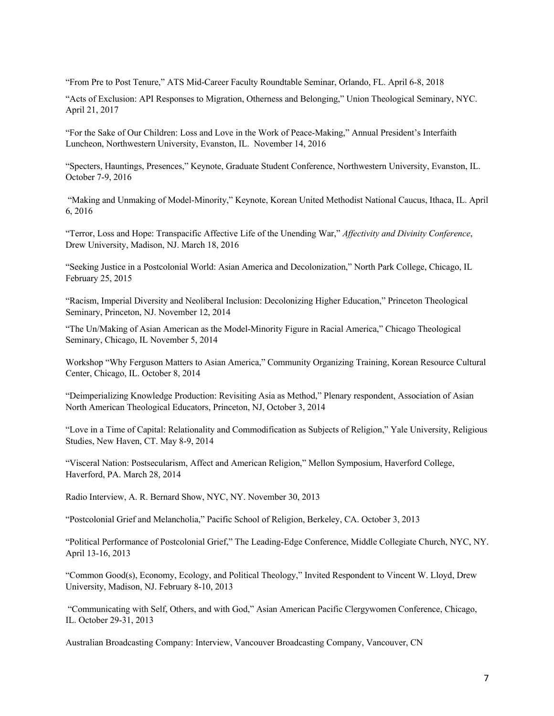"From Pre to Post Tenure," ATS Mid-Career Faculty Roundtable Seminar, Orlando, FL. April 6-8, 2018

"Acts of Exclusion: API Responses to Migration, Otherness and Belonging," Union Theological Seminary, NYC. April 21, 2017

"For the Sake of Our Children: Loss and Love in the Work of Peace-Making," Annual President's Interfaith Luncheon, Northwestern University, Evanston, IL. November 14, 2016

"Specters, Hauntings, Presences," Keynote, Graduate Student Conference, Northwestern University, Evanston, IL. October 7-9, 2016

"Making and Unmaking of Model-Minority," Keynote, Korean United Methodist National Caucus, Ithaca, IL. April 6, 2016

"Terror, Loss and Hope: Transpacific Affective Life of the Unending War," *Affectivity and Divinity Conference*, Drew University, Madison, NJ. March 18, 2016

"Seeking Justice in a Postcolonial World: Asian America and Decolonization," North Park College, Chicago, IL February 25, 2015

"Racism, Imperial Diversity and Neoliberal Inclusion: Decolonizing Higher Education," Princeton Theological Seminary, Princeton, NJ. November 12, 2014

"The Un/Making of Asian American as the Model-Minority Figure in Racial America," Chicago Theological Seminary, Chicago, IL November 5, 2014

Workshop "Why Ferguson Matters to Asian America," Community Organizing Training, Korean Resource Cultural Center, Chicago, IL. October 8, 2014

"Deimperializing Knowledge Production: Revisiting Asia as Method," Plenary respondent, Association of Asian North American Theological Educators, Princeton, NJ, October 3, 2014

"Love in a Time of Capital: Relationality and Commodification as Subjects of Religion," Yale University, Religious Studies, New Haven, CT. May 8-9, 2014

"Visceral Nation: Postsecularism, Affect and American Religion," Mellon Symposium, Haverford College, Haverford, PA. March 28, 2014

Radio Interview, A. R. Bernard Show, NYC, NY. November 30, 2013

"Postcolonial Grief and Melancholia," Pacific School of Religion, Berkeley, CA. October 3, 2013

"Political Performance of Postcolonial Grief," The Leading-Edge Conference, Middle Collegiate Church, NYC, NY. April 13-16, 2013

"Common Good(s), Economy, Ecology, and Political Theology," Invited Respondent to Vincent W. Lloyd, Drew University, Madison, NJ. February 8-10, 2013

"Communicating with Self, Others, and with God," Asian American Pacific Clergywomen Conference, Chicago, IL. October 29-31, 2013

Australian Broadcasting Company: Interview, Vancouver Broadcasting Company, Vancouver, CN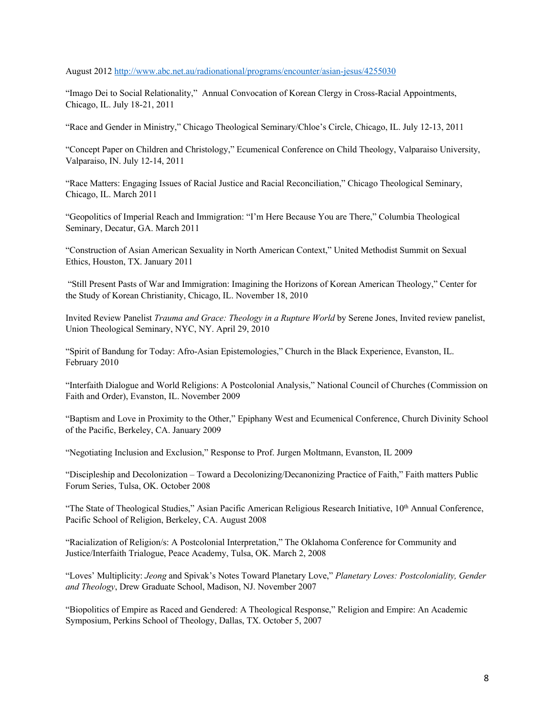#### August 2012 http://www.abc.net.au/radionational/programs/encounter/asian-jesus/4255030

"Imago Dei to Social Relationality," Annual Convocation of Korean Clergy in Cross-Racial Appointments, Chicago, IL. July 18-21, 2011

"Race and Gender in Ministry," Chicago Theological Seminary/Chloe's Circle, Chicago, IL. July 12-13, 2011

"Concept Paper on Children and Christology," Ecumenical Conference on Child Theology, Valparaiso University, Valparaiso, IN. July 12-14, 2011

"Race Matters: Engaging Issues of Racial Justice and Racial Reconciliation," Chicago Theological Seminary, Chicago, IL. March 2011

"Geopolitics of Imperial Reach and Immigration: "I'm Here Because You are There," Columbia Theological Seminary, Decatur, GA. March 2011

"Construction of Asian American Sexuality in North American Context," United Methodist Summit on Sexual Ethics, Houston, TX. January 2011

"Still Present Pasts of War and Immigration: Imagining the Horizons of Korean American Theology," Center for the Study of Korean Christianity, Chicago, IL. November 18, 2010

Invited Review Panelist *Trauma and Grace: Theology in a Rupture World* by Serene Jones, Invited review panelist, Union Theological Seminary, NYC, NY. April 29, 2010

"Spirit of Bandung for Today: Afro-Asian Epistemologies," Church in the Black Experience, Evanston, IL. February 2010

"Interfaith Dialogue and World Religions: A Postcolonial Analysis," National Council of Churches (Commission on Faith and Order), Evanston, IL. November 2009

"Baptism and Love in Proximity to the Other," Epiphany West and Ecumenical Conference, Church Divinity School of the Pacific, Berkeley, CA. January 2009

"Negotiating Inclusion and Exclusion," Response to Prof. Jurgen Moltmann, Evanston, IL 2009

"Discipleship and Decolonization – Toward a Decolonizing/Decanonizing Practice of Faith," Faith matters Public Forum Series, Tulsa, OK. October 2008

"The State of Theological Studies," Asian Pacific American Religious Research Initiative, 10<sup>th</sup> Annual Conference, Pacific School of Religion, Berkeley, CA. August 2008

"Racialization of Religion/s: A Postcolonial Interpretation," The Oklahoma Conference for Community and Justice/Interfaith Trialogue, Peace Academy, Tulsa, OK. March 2, 2008

"Loves' Multiplicity: *Jeong* and Spivak's Notes Toward Planetary Love," *Planetary Loves: Postcoloniality, Gender and Theology*, Drew Graduate School, Madison, NJ. November 2007

"Biopolitics of Empire as Raced and Gendered: A Theological Response," Religion and Empire: An Academic Symposium, Perkins School of Theology, Dallas, TX. October 5, 2007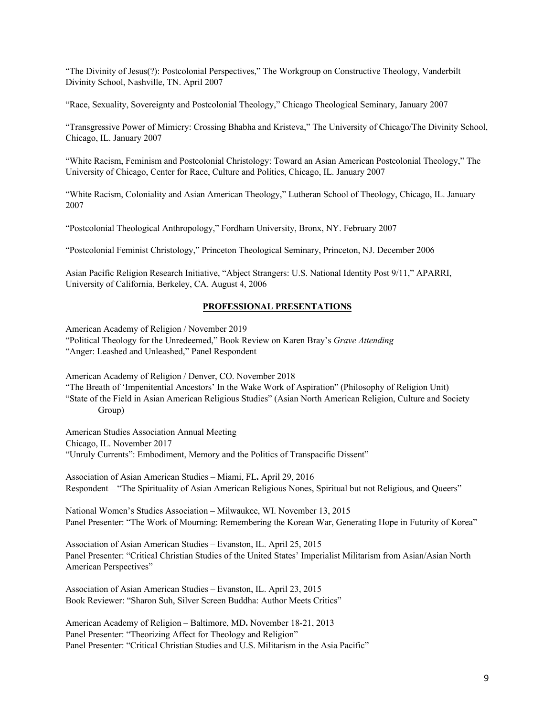"The Divinity of Jesus(?): Postcolonial Perspectives," The Workgroup on Constructive Theology, Vanderbilt Divinity School, Nashville, TN. April 2007

"Race, Sexuality, Sovereignty and Postcolonial Theology," Chicago Theological Seminary, January 2007

"Transgressive Power of Mimicry: Crossing Bhabha and Kristeva," The University of Chicago/The Divinity School, Chicago, IL. January 2007

"White Racism, Feminism and Postcolonial Christology: Toward an Asian American Postcolonial Theology," The University of Chicago, Center for Race, Culture and Politics, Chicago, IL. January 2007

"White Racism, Coloniality and Asian American Theology," Lutheran School of Theology, Chicago, IL. January 2007

"Postcolonial Theological Anthropology," Fordham University, Bronx, NY. February 2007

"Postcolonial Feminist Christology," Princeton Theological Seminary, Princeton, NJ. December 2006

Asian Pacific Religion Research Initiative, "Abject Strangers: U.S. National Identity Post 9/11," APARRI, University of California, Berkeley, CA. August 4, 2006

#### **PROFESSIONAL PRESENTATIONS**

American Academy of Religion / November 2019 "Political Theology for the Unredeemed," Book Review on Karen Bray's *Grave Attending* "Anger: Leashed and Unleashed," Panel Respondent

American Academy of Religion / Denver, CO. November 2018

"The Breath of 'Impenitential Ancestors' In the Wake Work of Aspiration" (Philosophy of Religion Unit) "State of the Field in Asian American Religious Studies" (Asian North American Religion, Culture and Society Group)

American Studies Association Annual Meeting Chicago, IL. November 2017 "Unruly Currents": Embodiment, Memory and the Politics of Transpacific Dissent"

Association of Asian American Studies – Miami, FL**.** April 29, 2016 Respondent – "The Spirituality of Asian American Religious Nones, Spiritual but not Religious, and Queers"

National Women's Studies Association – Milwaukee, WI. November 13, 2015 Panel Presenter: "The Work of Mourning: Remembering the Korean War, Generating Hope in Futurity of Korea"

Association of Asian American Studies – Evanston, IL. April 25, 2015 Panel Presenter: "Critical Christian Studies of the United States' Imperialist Militarism from Asian/Asian North American Perspectives"

Association of Asian American Studies – Evanston, IL. April 23, 2015 Book Reviewer: "Sharon Suh, Silver Screen Buddha: Author Meets Critics"

American Academy of Religion – Baltimore, MD**.** November 18-21, 2013 Panel Presenter: "Theorizing Affect for Theology and Religion" Panel Presenter: "Critical Christian Studies and U.S. Militarism in the Asia Pacific"